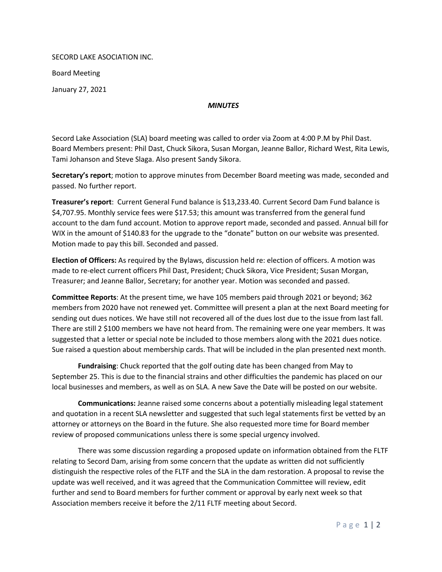SECORD LAKE ASOCIATION INC.

Board Meeting

January 27, 2021

## *MINUTES*

Secord Lake Association (SLA) board meeting was called to order via Zoom at 4:00 P.M by Phil Dast. Board Members present: Phil Dast, Chuck Sikora, Susan Morgan, Jeanne Ballor, Richard West, Rita Lewis, Tami Johanson and Steve Slaga. Also present Sandy Sikora.

**Secretary's report**; motion to approve minutes from December Board meeting was made, seconded and passed. No further report.

**Treasurer's report**: Current General Fund balance is \$13,233.40. Current Secord Dam Fund balance is \$4,707.95. Monthly service fees were \$17.53; this amount was transferred from the general fund account to the dam fund account. Motion to approve report made, seconded and passed. Annual bill for WIX in the amount of \$140.83 for the upgrade to the "donate" button on our website was presented. Motion made to pay this bill. Seconded and passed.

**Election of Officers:** As required by the Bylaws, discussion held re: election of officers. A motion was made to re-elect current officers Phil Dast, President; Chuck Sikora, Vice President; Susan Morgan, Treasurer; and Jeanne Ballor, Secretary; for another year. Motion was seconded and passed.

**Committee Reports**: At the present time, we have 105 members paid through 2021 or beyond; 362 members from 2020 have not renewed yet. Committee will present a plan at the next Board meeting for sending out dues notices. We have still not recovered all of the dues lost due to the issue from last fall. There are still 2 \$100 members we have not heard from. The remaining were one year members. It was suggested that a letter or special note be included to those members along with the 2021 dues notice. Sue raised a question about membership cards. That will be included in the plan presented next month.

**Fundraising**: Chuck reported that the golf outing date has been changed from May to September 25. This is due to the financial strains and other difficulties the pandemic has placed on our local businesses and members, as well as on SLA. A new Save the Date will be posted on our website.

**Communications:** Jeanne raised some concerns about a potentially misleading legal statement and quotation in a recent SLA newsletter and suggested that such legal statements first be vetted by an attorney or attorneys on the Board in the future. She also requested more time for Board member review of proposed communications unless there is some special urgency involved.

There was some discussion regarding a proposed update on information obtained from the FLTF relating to Secord Dam, arising from some concern that the update as written did not sufficiently distinguish the respective roles of the FLTF and the SLA in the dam restoration. A proposal to revise the update was well received, and it was agreed that the Communication Committee will review, edit further and send to Board members for further comment or approval by early next week so that Association members receive it before the 2/11 FLTF meeting about Secord.